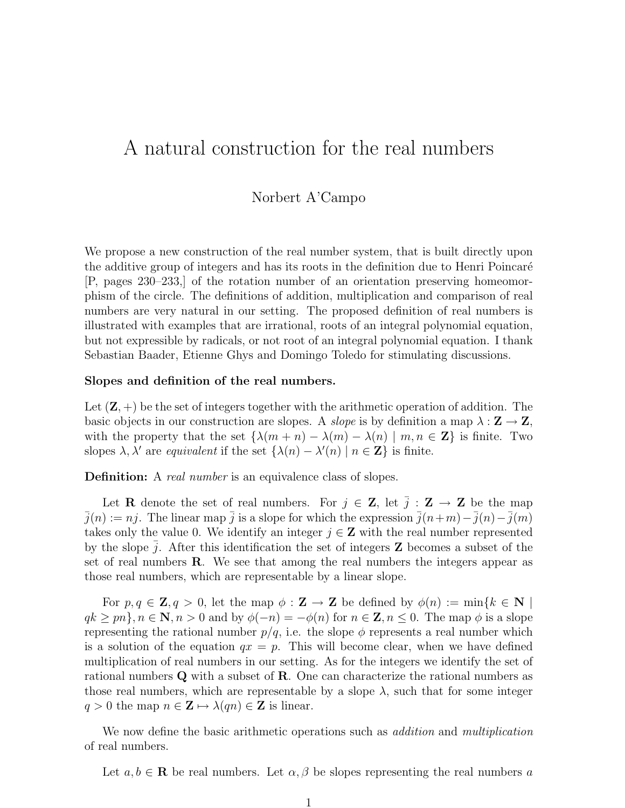# A natural construction for the real numbers

## Norbert A'Campo

We propose a new construction of the real number system, that is built directly upon the additive group of integers and has its roots in the definition due to Henri Poincaré [P, pages 230–233,] of the rotation number of an orientation preserving homeomorphism of the circle. The definitions of addition, multiplication and comparison of real numbers are very natural in our setting. The proposed definition of real numbers is illustrated with examples that are irrational, roots of an integral polynomial equation, but not expressible by radicals, or not root of an integral polynomial equation. I thank Sebastian Baader, Etienne Ghys and Domingo Toledo for stimulating discussions.

### Slopes and definition of the real numbers.

Let  $(\mathbf{Z}, +)$  be the set of integers together with the arithmetic operation of addition. The basic objects in our construction are slopes. A *slope* is by definition a map  $\lambda : \mathbf{Z} \to \mathbf{Z}$ , with the property that the set  $\{\lambda(m+n) - \lambda(m) - \lambda(n) \mid m, n \in \mathbb{Z}\}\$ is finite. Two slopes  $\lambda$ ,  $\lambda'$  are equivalent if the set  $\{\lambda(n) - \lambda'(n) \mid n \in \mathbb{Z}\}\$ is finite.

**Definition:** A *real number* is an equivalence class of slopes.

Let **R** denote the set of real numbers. For  $j \in \mathbb{Z}$ , let  $\overline{j} : \mathbb{Z} \to \mathbb{Z}$  be the map  $\bar{j}(n) := nj$ . The linear map  $\bar{j}$  is a slope for which the expression  $\bar{j}(n+m)-\bar{j}(n)-\bar{j}(m)$ takes only the value 0. We identify an integer  $j \in \mathbb{Z}$  with the real number represented by the slope  $j$ . After this identification the set of integers  $\bf{Z}$  becomes a subset of the set of real numbers  $\bf{R}$ . We see that among the real numbers the integers appear as those real numbers, which are representable by a linear slope.

For  $p, q \in \mathbf{Z}, q > 0$ , let the map  $\phi : \mathbf{Z} \to \mathbf{Z}$  be defined by  $\phi(n) := \min\{k \in \mathbf{N} \mid n \in \mathbf{Z}\}$  $qk \geq pn$ ,  $n \in \mathbb{N}, n > 0$  and by  $\phi(-n) = -\phi(n)$  for  $n \in \mathbb{Z}, n \leq 0$ . The map  $\phi$  is a slope representing the rational number  $p/q$ , i.e. the slope  $\phi$  represents a real number which is a solution of the equation  $qx = p$ . This will become clear, when we have defined multiplication of real numbers in our setting. As for the integers we identify the set of rational numbers Q with a subset of R. One can characterize the rational numbers as those real numbers, which are representable by a slope  $\lambda$ , such that for some integer  $q > 0$  the map  $n \in \mathbb{Z} \mapsto \lambda(qn) \in \mathbb{Z}$  is linear.

We now define the basic arithmetic operations such as *addition* and *multiplication* of real numbers.

Let  $a, b \in \mathbf{R}$  be real numbers. Let  $\alpha, \beta$  be slopes representing the real numbers a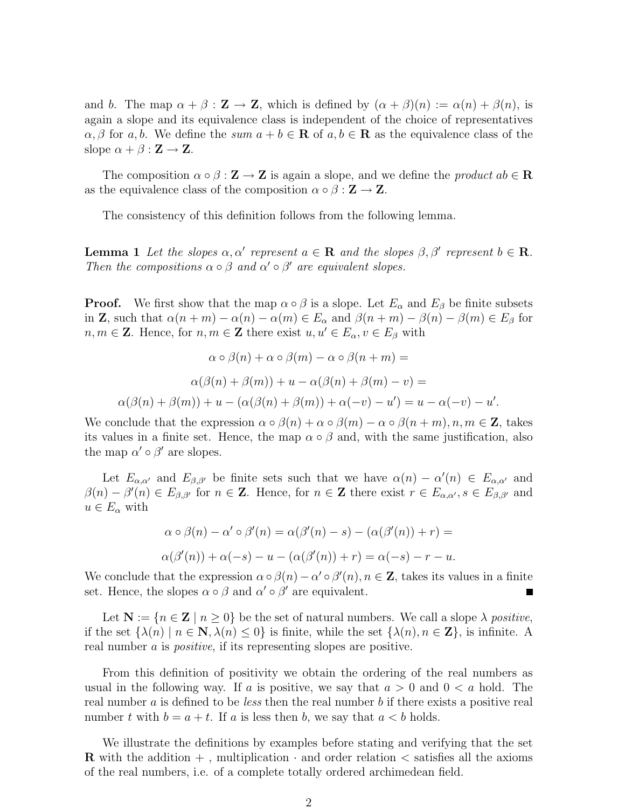and b. The map  $\alpha + \beta : \mathbf{Z} \to \mathbf{Z}$ , which is defined by  $(\alpha + \beta)(n) := \alpha(n) + \beta(n)$ , is again a slope and its equivalence class is independent of the choice of representatives  $\alpha, \beta$  for a, b. We define the sum  $a + b \in \mathbf{R}$  of  $a, b \in \mathbf{R}$  as the equivalence class of the slope  $\alpha + \beta : \mathbf{Z} \to \mathbf{Z}$ .

The composition  $\alpha \circ \beta : \mathbf{Z} \to \mathbf{Z}$  is again a slope, and we define the *product*  $ab \in \mathbf{R}$ as the equivalence class of the composition  $\alpha \circ \beta : \mathbf{Z} \to \mathbf{Z}$ .

The consistency of this definition follows from the following lemma.

**Lemma 1** Let the slopes  $\alpha, \alpha'$  represent  $a \in \mathbf{R}$  and the slopes  $\beta, \beta'$  represent  $b \in \mathbf{R}$ . Then the compositions  $\alpha \circ \beta$  and  $\alpha' \circ \beta'$  are equivalent slopes.

**Proof.** We first show that the map  $\alpha \circ \beta$  is a slope. Let  $E_{\alpha}$  and  $E_{\beta}$  be finite subsets in **Z**, such that  $\alpha(n+m) - \alpha(n) - \alpha(m) \in E_\alpha$  and  $\beta(n+m) - \beta(n) - \beta(m) \in E_\beta$  for  $n, m \in \mathbb{Z}$ . Hence, for  $n, m \in \mathbb{Z}$  there exist  $u, u' \in E_{\alpha}, v \in E_{\beta}$  with

$$
\alpha \circ \beta(n) + \alpha \circ \beta(m) - \alpha \circ \beta(n+m) =
$$

$$
\alpha(\beta(n) + \beta(m)) + u - \alpha(\beta(n) + \beta(m) - v) =
$$

$$
\alpha(\beta(n) + \beta(m)) + u - (\alpha(\beta(n) + \beta(m)) + \alpha(-v) - u') = u - \alpha(-v) - u'.
$$

We conclude that the expression  $\alpha \circ \beta(n) + \alpha \circ \beta(m) - \alpha \circ \beta(n+m), n, m \in \mathbb{Z}$ , takes its values in a finite set. Hence, the map  $\alpha \circ \beta$  and, with the same justification, also the map  $\alpha' \circ \beta'$  are slopes.

Let  $E_{\alpha,\alpha'}$  and  $E_{\beta,\beta'}$  be finite sets such that we have  $\alpha(n) - \alpha'(n) \in E_{\alpha,\alpha'}$  and  $\beta(n) - \beta'(n) \in E_{\beta,\beta'}$  for  $n \in \mathbb{Z}$ . Hence, for  $n \in \mathbb{Z}$  there exist  $r \in E_{\alpha,\alpha'}$ ,  $s \in E_{\beta,\beta'}$  and  $u \in E_{\alpha}$  with

$$
\alpha \circ \beta(n) - \alpha' \circ \beta'(n) = \alpha(\beta'(n) - s) - (\alpha(\beta'(n)) + r) =
$$
  

$$
\alpha(\beta'(n)) + \alpha(-s) - u - (\alpha(\beta'(n)) + r) = \alpha(-s) - r - u.
$$

We conclude that the expression  $\alpha \circ \beta(n) - \alpha' \circ \beta'(n)$ ,  $n \in \mathbb{Z}$ , takes its values in a finite set. Hence, the slopes  $\alpha \circ \beta$  and  $\alpha' \circ \beta'$  are equivalent.

Let  $N := \{n \in \mathbb{Z} \mid n \geq 0\}$  be the set of natural numbers. We call a slope  $\lambda$  positive, if the set  $\{\lambda(n) \mid n \in \mathbb{N}, \lambda(n) \leq 0\}$  is finite, while the set  $\{\lambda(n), n \in \mathbb{Z}\}\)$ , is infinite. A real number a is *positive*, if its representing slopes are positive.

From this definition of positivity we obtain the ordering of the real numbers as usual in the following way. If a is positive, we say that  $a > 0$  and  $0 < a$  hold. The real number a is defined to be *less* then the real number b if there exists a positive real number t with  $b = a + t$ . If a is less then b, we say that  $a < b$  holds.

We illustrate the definitions by examples before stating and verifying that the set **R** with the addition  $+$ , multiplication  $\cdot$  and order relation  $\lt$  satisfies all the axioms of the real numbers, i.e. of a complete totally ordered archimedean field.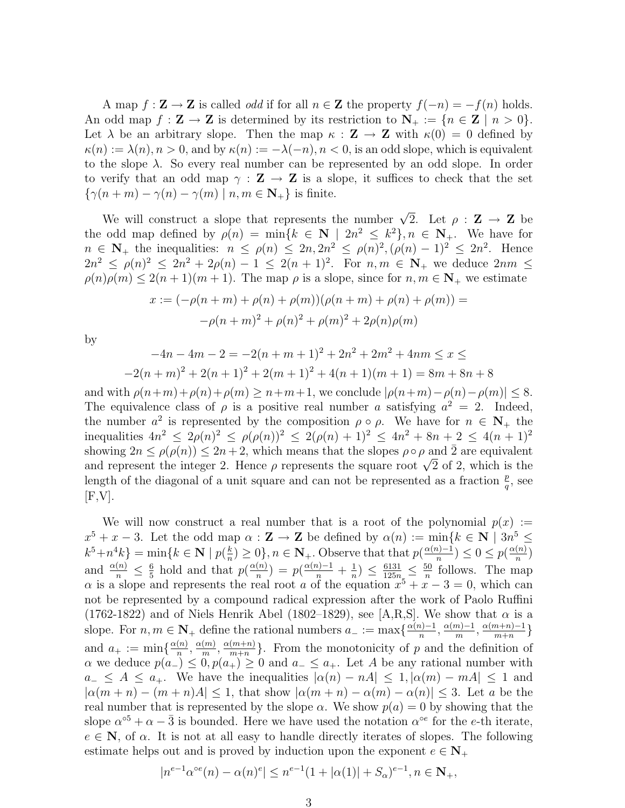A map  $f : \mathbf{Z} \to \mathbf{Z}$  is called *odd* if for all  $n \in \mathbf{Z}$  the property  $f(-n) = -f(n)$  holds. An odd map  $f : \mathbf{Z} \to \mathbf{Z}$  is determined by its restriction to  $\mathbf{N}_{+} := \{n \in \mathbf{Z} \mid n > 0\}.$ Let  $\lambda$  be an arbitrary slope. Then the map  $\kappa : \mathbf{Z} \to \mathbf{Z}$  with  $\kappa(0) = 0$  defined by  $\kappa(n) := \lambda(n), n > 0$ , and by  $\kappa(n) := -\lambda(-n), n < 0$ , is an odd slope, which is equivalent to the slope  $\lambda$ . So every real number can be represented by an odd slope. In order to verify that an odd map  $\gamma : \mathbf{Z} \to \mathbf{Z}$  is a slope, it suffices to check that the set  $\{\gamma(n+m) - \gamma(n) - \gamma(m) \mid n, m \in \mathbb{N}_+\}$  is finite.

We will construct a slope that represents the number  $\sqrt{2}$ . Let  $\rho : \mathbf{Z} \to \mathbf{Z}$  be the odd map defined by  $\rho(n) = \min\{k \in \mathbb{N} \mid 2n^2 \leq k^2\}, n \in \mathbb{N}_+$ . We have for  $n \in \mathbb{N}_+$  the inequalities:  $n \leq \rho(n) \leq 2n, 2n^2 \leq \rho(n)^2, (\rho(n) - 1)^2 \leq 2n^2$ . Hence  $2n^2 \le \rho(n)^2 \le 2n^2 + 2\rho(n) - 1 \le 2(n+1)^2$ . For  $n, m \in \mathbb{N}_+$  we deduce  $2nm \le$  $\rho(n)\rho(m) \leq 2(n+1)(m+1)$ . The map  $\rho$  is a slope, since for  $n, m \in \mathbb{N}_+$  we estimate

$$
x := (-\rho(n+m) + \rho(n) + \rho(m))(\rho(n+m) + \rho(n) + \rho(m)) =
$$
  
- $\rho(n+m)^2 + \rho(n)^2 + \rho(m)^2 + 2\rho(n)\rho(m)$ 

by

$$
-4n - 4m - 2 = -2(n + m + 1)^{2} + 2n^{2} + 2m^{2} + 4nm \le x \le
$$
  

$$
-2(n + m)^{2} + 2(n + 1)^{2} + 2(m + 1)^{2} + 4(n + 1)(m + 1) = 8m + 8n + 8
$$

and with  $\rho(n+m)+\rho(n)+\rho(m) \geq n+m+1$ , we conclude  $|\rho(n+m)-\rho(n)-\rho(m)| \leq 8$ . The equivalence class of  $\rho$  is a positive real number a satisfying  $a^2 = 2$ . Indeed, the number  $a^2$  is represented by the composition  $\rho \circ \rho$ . We have for  $n \in \mathbb{N}_+$  the inequalities  $4n^2 \leq 2\rho(n)^2 \leq \rho(\rho(n))^2 \leq 2(\rho(n)+1)^2 \leq 4n^2+8n+2 \leq 4(n+1)^2$ showing  $2n \leq \rho(\rho(n)) \leq 2n+2$ , which means that the slopes  $\rho \circ \rho$  and  $\overline{2}$  are equivalent showing  $2n \leq \rho(\rho(n)) \leq 2n + 2$ , which means that the slopes  $\rho \circ \rho$  and 2 are equivalent and represent the integer 2. Hence  $\rho$  represents the square root  $\sqrt{2}$  of 2, which is the length of the diagonal of a unit square and can not be represented as a fraction  $\frac{p}{q}$ , see  $[F,V].$ 

We will now construct a real number that is a root of the polynomial  $p(x) :=$  $x^5 + x - 3$ . Let the odd map  $\alpha : \mathbf{Z} \to \mathbf{Z}$  be defined by  $\alpha(n) := \min\{k \in \mathbf{N} \mid 3n^5 \leq \alpha \}$  $k^5 + n^4k$  = min{ $k \in \mathbf{N} \mid p(\frac{k}{n})$  $\frac{k}{n}$ ) ≥ 0, n ∈ **N**<sub>+</sub>. Observe that that  $p(\frac{\alpha(n)-1}{n})$  $\frac{n}{n}$ )  $\leq 0 \leq p(\frac{\alpha(n)}{n})$  $\frac{(n)}{n}$ and  $\frac{\alpha(n)}{n} \leq \frac{6}{5}$  $rac{6}{5}$  hold and that  $p(\frac{\alpha(n)}{n})$  $\binom{n}{n}$ ) =  $p(\frac{\alpha(n)-1}{n} + \frac{1}{n})$  $\frac{1}{n}) \leq \frac{6131}{125n} \leq \frac{50}{n}$  $\frac{50}{n}$  follows. The map  $\alpha$  is a slope and represents the real root a of the equation  $x^5 + x - 3 = 0$ , which can not be represented by a compound radical expression after the work of Paolo Ruffini (1762-1822) and of Niels Henrik Abel (1802–1829), see [A,R,S]. We show that  $\alpha$  is a slope. For  $n, m \in \mathbb{N}_+$  define the rational numbers  $a_- := \max\{\frac{\alpha(n)-1}{n}\}$  $\frac{n}{n}$ ,  $\frac{\alpha(m)-1}{m}$  $\frac{(m-1)}{m}, \frac{\alpha(m+n)-1}{m+n}$  $\frac{n+n-1}{m+n}$ } and  $a_+ := \min\{\frac{\alpha(n)}{n}\}$  $\frac{(n)}{n}, \frac{\alpha(m)}{m}$  $\frac{(m)}{m}, \frac{\alpha(m+n)}{m+n}$  $\binom{(m+n)}{m+n}$ . From the monotonicity of p and the definition of  $\alpha$  we deduce  $p(a_{-}) \leq 0, p(a_{+}) \geq 0$  and  $a_{-} \leq a_{+}$ . Let A be any rational number with  $a_-\leq A\leq a_+$ . We have the inequalities  $|\alpha(n)-nA|\leq 1, |\alpha(m)-mA|\leq 1$  and  $|\alpha(m+n)-(m+n)A|\leq 1$ , that show  $|\alpha(m+n)-\alpha(m)-\alpha(n)|\leq 3$ . Let a be the real number that is represented by the slope  $\alpha$ . We show  $p(a) = 0$  by showing that the slope  $\alpha^{\circ 5} + \alpha - \bar{3}$  is bounded. Here we have used the notation  $\alpha^{\circ e}$  for the *e*-th iterate,  $e \in \mathbb{N}$ , of  $\alpha$ . It is not at all easy to handle directly iterates of slopes. The following estimate helps out and is proved by induction upon the exponent  $e \in N_+$ 

$$
|n^{e-1} \alpha^{oe}(n) - \alpha(n)^e| \le n^{e-1} (1 + |\alpha(1)| + S_\alpha)^{e-1}, n \in \mathbf{N}_+,
$$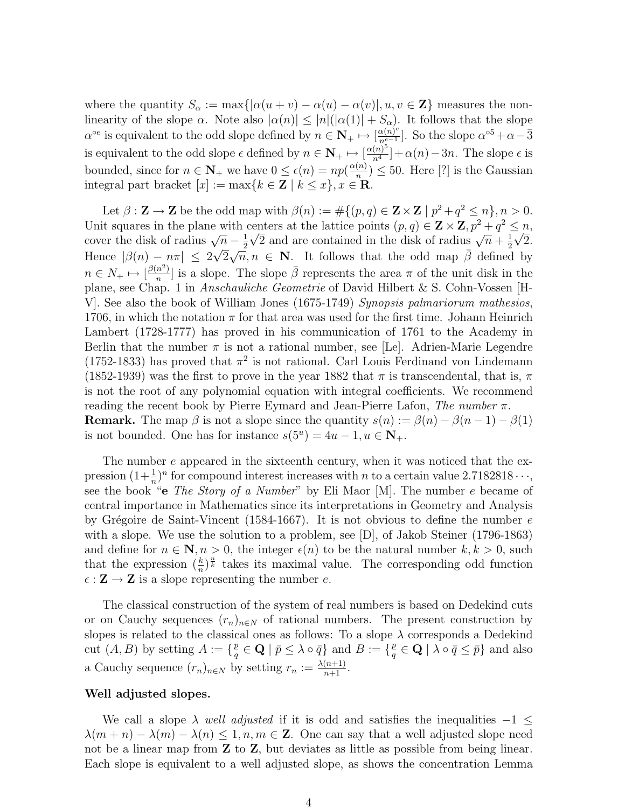where the quantity  $S_{\alpha} := \max\{|\alpha(u+v) - \alpha(u) - \alpha(v)|, u, v \in \mathbb{Z}\}\)$  measures the nonlinearity of the slope  $\alpha$ . Note also  $|\alpha(n)| \leq |n|(|\alpha(1)| + S_{\alpha})$ . It follows that the slope  $\alpha^{\circ e}$  is equivalent to the odd slope defined by  $n \in \mathbb{N}_+ \mapsto [\frac{\alpha(n)^e}{n^{e-1}}]$  $\frac{\alpha(n)^e}{n^{e-1}}$ . So the slope  $\alpha^{\circ 5} + \alpha - \bar{3}$ is equivalent to the odd slope  $\epsilon$  defined by  $n \in \mathbb{N}_+ \mapsto \left[\frac{\alpha(n)^5}{n^4}\right]$  $\frac{(n)^{\circ}}{n^4}$  +  $\alpha(n)$  – 3n. The slope  $\epsilon$  is bounded, since for  $n \in \mathbb{N}_+$  we have  $0 \leq \epsilon(n) = np(\frac{\alpha(n)}{n})$  $\binom{n}{n} \leq 50$ . Here [?] is the Gaussian integral part bracket  $[x] := \max\{k \in \mathbb{Z} \mid k \leq x\}, x \in \mathbb{R}.$ 

Let  $\beta : \mathbf{Z} \to \mathbf{Z}$  be the odd map with  $\beta(n) := \#\{(p,q) \in \mathbf{Z} \times \mathbf{Z} \mid p^2 + q^2 \leq n\}, n > 0$ . Unit squares in the plane with centers at the lattice points  $(p, q) \in \mathbf{Z} \times \mathbf{Z}, p^2 + q^2 \leq n$ cover the disk of radius  $\sqrt{n} - \frac{1}{2}$ centers at the rattice points  $(p, q) \in \mathbb{Z} \times \mathbb{Z}, p + q$ <br> $\frac{1}{2}\sqrt{2}$  and are contained in the disk of radius  $\sqrt{n} + \frac{1}{2}$  $\sqrt{n} - \frac{1}{2}\sqrt{2}$  and are contained in the disk of radius  $\sqrt{n} + \frac{1}{2}\sqrt{2}$ . Hence  $|\beta(n) - n\pi| \leq 2\sqrt{2}\sqrt{n}, n \in \mathbb{N}$ . It follows that the odd map  $\bar{\beta}$  defined by  $n \in N_+ \mapsto \left[\frac{\beta(n^2)}{n}\right]$  $\frac{n^2}{n}$ ] is a slope. The slope  $\bar{\beta}$  represents the area  $\pi$  of the unit disk in the plane, see Chap. 1 in Anschauliche Geometrie of David Hilbert & S. Cohn-Vossen [H-V]. See also the book of William Jones (1675-1749) Synopsis palmariorum mathesios, 1706, in which the notation  $\pi$  for that area was used for the first time. Johann Heinrich Lambert (1728-1777) has proved in his communication of 1761 to the Academy in Berlin that the number  $\pi$  is not a rational number, see [Le]. Adrien-Marie Legendre (1752-1833) has proved that  $\pi^2$  is not rational. Carl Louis Ferdinand von Lindemann (1852-1939) was the first to prove in the year 1882 that  $\pi$  is transcendental, that is,  $\pi$ is not the root of any polynomial equation with integral coefficients. We recommend reading the recent book by Pierre Eymard and Jean-Pierre Lafon, The number  $\pi$ . **Remark.** The map  $\beta$  is not a slope since the quantity  $s(n) := \beta(n) - \beta(n-1) - \beta(1)$ is not bounded. One has for instance  $s(5^u) = 4u - 1, u \in \mathbb{N}_+$ .

The number e appeared in the sixteenth century, when it was noticed that the expression  $(1+\frac{1}{n})^n$  for compound interest increases with *n* to a certain value 2.7182818 $\cdots$ , see the book "e The Story of a Number" by Eli Maor [M]. The number e became of central importance in Mathematics since its interpretations in Geometry and Analysis by Grégoire de Saint-Vincent (1584-1667). It is not obvious to define the number  $e$ with a slope. We use the solution to a problem, see [D], of Jakob Steiner (1796-1863) and define for  $n \in \mathbb{N}, n > 0$ , the integer  $\epsilon(n)$  to be the natural number  $k, k > 0$ , such that the expression  $(\frac{k}{n})^{\frac{n}{k}}$  takes its maximal value. The corresponding odd function  $\epsilon : \mathbf{Z} \to \mathbf{Z}$  is a slope representing the number e.

The classical construction of the system of real numbers is based on Dedekind cuts or on Cauchy sequences  $(r_n)_{n\in\mathbb{N}}$  of rational numbers. The present construction by slopes is related to the classical ones as follows: To a slope  $\lambda$  corresponds a Dedekind cut  $(A, B)$  by setting  $A := \{ \frac{p}{q} \}$  $\frac{p}{q} \in \mathbf{Q} \mid \bar{p} \leq \lambda \circ \bar{q} \}$  and  $B := \{\frac{p}{q}\}$  $\frac{p}{q} \in \mathbf{Q} \mid \lambda \circ \bar{q} \leq \bar{p} \}$  and also a Cauchy sequence  $(r_n)_{n \in \mathbb{N}}$  by setting  $r_n := \frac{\lambda(n+1)}{n+1}$ .

#### Well adjusted slopes.

We call a slope  $\lambda$  well adjusted if it is odd and satisfies the inequalities  $-1 \leq$  $\lambda(m+n) - \lambda(m) - \lambda(n) \leq 1, n, m \in \mathbb{Z}$ . One can say that a well adjusted slope need not be a linear map from Z to Z, but deviates as little as possible from being linear. Each slope is equivalent to a well adjusted slope, as shows the concentration Lemma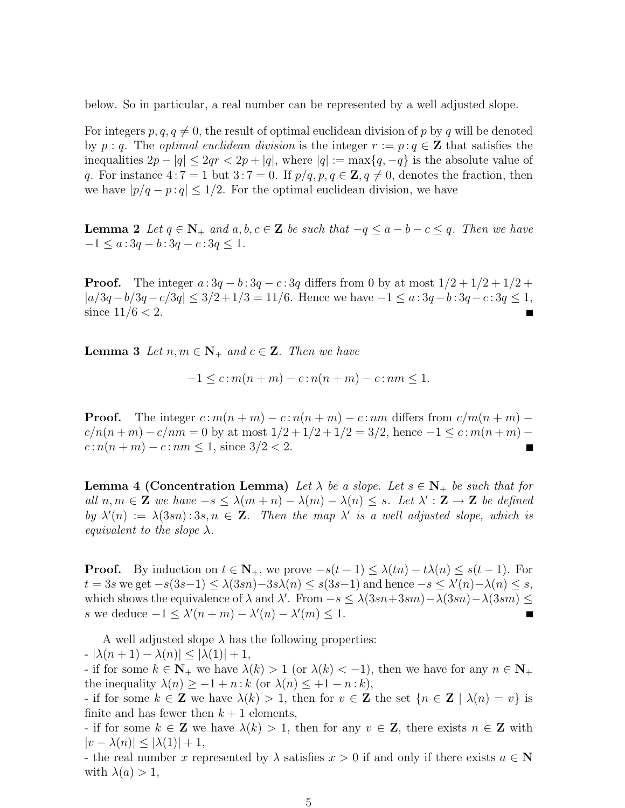below. So in particular, a real number can be represented by a well adjusted slope.

For integers  $p, q, q \neq 0$ , the result of optimal euclidean division of p by q will be denoted by p : q. The *optimal euclidean division* is the integer  $r := p : q \in \mathbb{Z}$  that satisfies the inequalities  $2p - |q| \leq 2qr < 2p + |q|$ , where  $|q| := \max\{q, -q\}$  is the absolute value of q. For instance  $4:7 = 1$  but  $3:7 = 0$ . If  $p/q, p, q \in \mathbb{Z}, q \neq 0$ , denotes the fraction, then we have  $|p/q - p : q| \leq 1/2$ . For the optimal euclidean division, we have

**Lemma 2** Let  $q \in \mathbb{N}_+$  and  $a, b, c \in \mathbb{Z}$  be such that  $-q \le a - b - c \le q$ . Then we have  $-1 \le a: 3q - b: 3q - c: 3q \le 1.$ 

**Proof.** The integer  $a: 3q - b: 3q - c: 3q$  differs from 0 by at most  $1/2 + 1/2 + 1/2 + 1/2$  $|a/3q-b/3q-c/3q| \leq 3/2+1/3 = 11/6$ . Hence we have  $-1 \leq a: 3q-b: 3q-c: 3q \leq 1$ , since  $11/6 < 2$ .

**Lemma 3** Let  $n, m \in \mathbb{N}_+$  and  $c \in \mathbb{Z}$ . Then we have

$$
-1 \le c \colon m(n+m) - c \colon n(n+m) - c \colon nm \le 1.
$$

**Proof.** The integer  $c : m(n + m) - c : n(n + m) - c : nm$  differs from  $c/m(n + m) - c$  $c/n(n+m) - c/nm = 0$  by at most  $1/2 + 1/2 + 1/2 = 3/2$ , hence  $-1 \leq c : m(n+m) - c/nm$  $c: n(n+m) - c: nm \leq 1$ , since  $3/2 < 2$ . П

**Lemma 4 (Concentration Lemma)** Let  $\lambda$  be a slope. Let  $s \in N_+$  be such that for all  $n, m \in \mathbb{Z}$  we have  $-s \leq \lambda(m+n) - \lambda(m) - \lambda(n) \leq s$ . Let  $\lambda' : \mathbb{Z} \to \mathbb{Z}$  be defined by  $\lambda'(n) := \lambda(3sn) : 3s, n \in \mathbb{Z}$ . Then the map  $\lambda'$  is a well adjusted slope, which is equivalent to the slope  $\lambda$ .

**Proof.** By induction on  $t \in \mathbb{N}_+$ , we prove  $-s(t-1) \leq \lambda(tn) - t\lambda(n) \leq s(t-1)$ . For  $t = 3s$  we get  $-s(3s-1) \leq \lambda(3sn) - 3s\lambda(n) \leq s(3s-1)$  and hence  $-s \leq \lambda'(n) - \lambda(n) \leq s$ , which shows the equivalence of  $\lambda$  and  $\lambda'$ . From  $-s \leq \lambda(3sn+3sm) - \lambda(3sn) - \lambda(3sm) \leq$ s we deduce  $-1 \leq \lambda'(n+m) - \lambda'(n) - \lambda'(m) \leq 1$ .

A well adjusted slope  $\lambda$  has the following properties:

 $- |\lambda(n+1) - \lambda(n)| \leq |\lambda(1)| + 1$ ,

- if for some  $k \in \mathbb{N}_+$  we have  $\lambda(k) > 1$  (or  $\lambda(k) < -1$ ), then we have for any  $n \in \mathbb{N}_+$ the inequality  $\lambda(n) \geq -1 + n : k$  (or  $\lambda(n) \leq +1 - n : k$ ),

- if for some  $k \in \mathbb{Z}$  we have  $\lambda(k) > 1$ , then for  $v \in \mathbb{Z}$  the set  $\{n \in \mathbb{Z} \mid \lambda(n) = v\}$  is finite and has fewer then  $k + 1$  elements,

- if for some  $k \in \mathbb{Z}$  we have  $\lambda(k) > 1$ , then for any  $v \in \mathbb{Z}$ , there exists  $n \in \mathbb{Z}$  with  $|v - \lambda(n)| \leq |\lambda(1)| + 1$ ,

- the real number x represented by  $\lambda$  satisfies  $x > 0$  if and only if there exists  $a \in \mathbb{N}$ with  $\lambda(a) > 1$ ,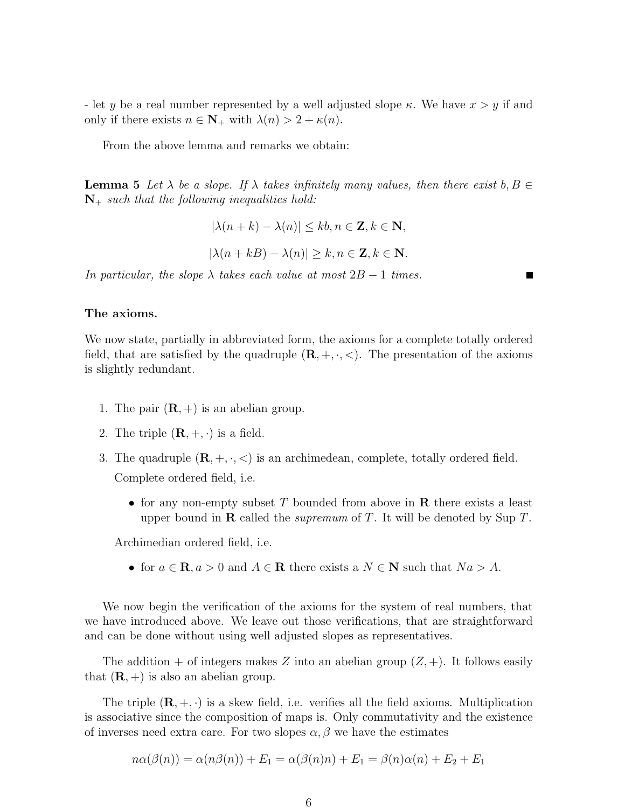- let y be a real number represented by a well adjusted slope  $\kappa$ . We have  $x > y$  if and only if there exists  $n \in \mathbb{N}_+$  with  $\lambda(n) > 2 + \kappa(n)$ .

From the above lemma and remarks we obtain:

**Lemma 5** Let  $\lambda$  be a slope. If  $\lambda$  takes infinitely many values, then there exist b,  $B \in$  $\mathbf{N}_{+}$  such that the following inequalities hold:

$$
|\lambda(n+k) - \lambda(n)| \le kb, n \in \mathbf{Z}, k \in \mathbf{N},
$$
  

$$
|\lambda(n+kB) - \lambda(n)| \ge k, n \in \mathbf{Z}, k \in \mathbf{N}.
$$

In particular, the slope  $\lambda$  takes each value at most  $2B - 1$  times.

## The axioms.

We now state, partially in abbreviated form, the axioms for a complete totally ordered field, that are satisfied by the quadruple  $(\mathbf{R}, +, \cdot, <)$ . The presentation of the axioms is slightly redundant.

- 1. The pair  $(\mathbf{R}, +)$  is an abelian group.
- 2. The triple  $(\mathbf{R}, +, \cdot)$  is a field.
- 3. The quadruple  $(\mathbf{R}, +, \cdot, \leq)$  is an archimedean, complete, totally ordered field. Complete ordered field, i.e.
	- for any non-empty subset T bounded from above in  $\bf{R}$  there exists a least upper bound in **R** called the *supremum* of T. It will be denoted by Sup T.

Archimedian ordered field, i.e.

• for  $a \in \mathbf{R}$ ,  $a > 0$  and  $A \in \mathbf{R}$  there exists a  $N \in \mathbf{N}$  such that  $Na > A$ .

We now begin the verification of the axioms for the system of real numbers, that we have introduced above. We leave out those verifications, that are straightforward and can be done without using well adjusted slopes as representatives.

The addition + of integers makes Z into an abelian group  $(Z, +)$ . It follows easily that  $(\mathbf{R}, +)$  is also an abelian group.

The triple  $(\mathbf{R}, +, \cdot)$  is a skew field, i.e. verifies all the field axioms. Multiplication is associative since the composition of maps is. Only commutativity and the existence of inverses need extra care. For two slopes  $\alpha, \beta$  we have the estimates

$$
n\alpha(\beta(n)) = \alpha(n\beta(n)) + E_1 = \alpha(\beta(n)n) + E_1 = \beta(n)\alpha(n) + E_2 + E_1
$$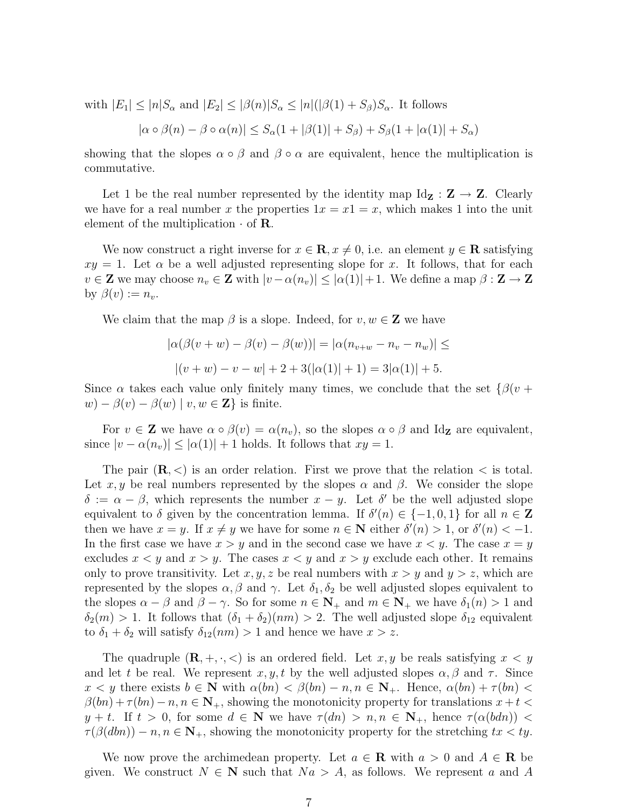with  $|E_1| \leq |n|S_\alpha$  and  $|E_2| \leq |\beta(n)|S_\alpha \leq |n|(|\beta(1) + S_\beta)S_\alpha$ . It follows

$$
|\alpha \circ \beta(n) - \beta \circ \alpha(n)| \leq S_{\alpha}(1 + |\beta(1)| + S_{\beta}) + S_{\beta}(1 + |\alpha(1)| + S_{\alpha})
$$

showing that the slopes  $\alpha \circ \beta$  and  $\beta \circ \alpha$  are equivalent, hence the multiplication is commutative.

Let 1 be the real number represented by the identity map  $\text{Id}_{\mathbf{Z}} : \mathbf{Z} \to \mathbf{Z}$ . Clearly we have for a real number x the properties  $1x = x1 = x$ , which makes 1 into the unit element of the multiplication  $\cdot$  of **R**.

We now construct a right inverse for  $x \in \mathbb{R}, x \neq 0$ , i.e. an element  $y \in \mathbb{R}$  satisfying  $xy = 1$ . Let  $\alpha$  be a well adjusted representing slope for x. It follows, that for each  $v \in \mathbf{Z}$  we may choose  $n_v \in \mathbf{Z}$  with  $|v - \alpha(n_v)| \leq |\alpha(1)| + 1$ . We define a map  $\beta : \mathbf{Z} \to \mathbf{Z}$ by  $\beta(v) := n_v$ .

We claim that the map  $\beta$  is a slope. Indeed, for  $v, w \in \mathbb{Z}$  we have

$$
|\alpha(\beta(v+w) - \beta(v) - \beta(w))| = |\alpha(n_{v+w} - n_v - n_w)| \le
$$
  
 
$$
|(v+w) - v - w| + 2 + 3(|\alpha(1)| + 1) = 3|\alpha(1)| + 5.
$$

Since  $\alpha$  takes each value only finitely many times, we conclude that the set  $\{\beta(v +$  $w$ ) –  $\beta(v)$  –  $\beta(w)$  |  $v, w \in \mathbb{Z}$ } is finite.

For  $v \in \mathbf{Z}$  we have  $\alpha \circ \beta(v) = \alpha(n_v)$ , so the slopes  $\alpha \circ \beta$  and Id<sub>Z</sub> are equivalent, since  $|v - \alpha(n_v)| \leq |\alpha(1)| + 1$  holds. It follows that  $xy = 1$ .

The pair  $(\mathbf{R}, \leq)$  is an order relation. First we prove that the relation  $\leq$  is total. Let x, y be real numbers represented by the slopes  $\alpha$  and  $\beta$ . We consider the slope  $\delta := \alpha - \beta$ , which represents the number  $x - y$ . Let  $\delta'$  be the well adjusted slope equivalent to  $\delta$  given by the concentration lemma. If  $\delta'(n) \in \{-1,0,1\}$  for all  $n \in \mathbb{Z}$ then we have  $x = y$ . If  $x \neq y$  we have for some  $n \in \mathbb{N}$  either  $\delta'(n) > 1$ , or  $\delta'(n) < -1$ . In the first case we have  $x > y$  and in the second case we have  $x < y$ . The case  $x = y$ excludes  $x < y$  and  $x > y$ . The cases  $x < y$  and  $x > y$  exclude each other. It remains only to prove transitivity. Let x, y, z be real numbers with  $x > y$  and  $y > z$ , which are represented by the slopes  $\alpha, \beta$  and  $\gamma$ . Let  $\delta_1, \delta_2$  be well adjusted slopes equivalent to the slopes  $\alpha - \beta$  and  $\beta - \gamma$ . So for some  $n \in \mathbb{N}_+$  and  $m \in \mathbb{N}_+$  we have  $\delta_1(n) > 1$  and  $\delta_2(m) > 1$ . It follows that  $(\delta_1 + \delta_2)(nm) > 2$ . The well adjusted slope  $\delta_{12}$  equivalent to  $\delta_1 + \delta_2$  will satisfy  $\delta_{12}(nm) > 1$  and hence we have  $x > z$ .

The quadruple  $(\mathbf{R}, +, \cdot, <)$  is an ordered field. Let  $x, y$  be reals satisfying  $x < y$ and let t be real. We represent  $x, y, t$  by the well adjusted slopes  $\alpha, \beta$  and  $\tau$ . Since  $x < y$  there exists  $b \in \mathbb{N}$  with  $\alpha(bn) < \beta(bn) - n, n \in \mathbb{N}_+$ . Hence,  $\alpha(bn) + \tau(bn) < \beta(bn)$  $\beta(bn) + \tau(bn) - n, n \in \mathbb{N}_+$ , showing the monotonicity property for translations  $x + t$  $y + t$ . If  $t > 0$ , for some  $d \in \mathbb{N}$  we have  $\tau(dn) > n, n \in \mathbb{N}_+$ , hence  $\tau(\alpha(bdn)) <$  $\tau(\beta(dbn)) - n, n \in \mathbb{N}_+$ , showing the monotonicity property for the stretching  $tx < ty$ .

We now prove the archimedean property. Let  $a \in \mathbf{R}$  with  $a > 0$  and  $A \in \mathbf{R}$  be given. We construct  $N \in \mathbb{N}$  such that  $Na > A$ , as follows. We represent a and A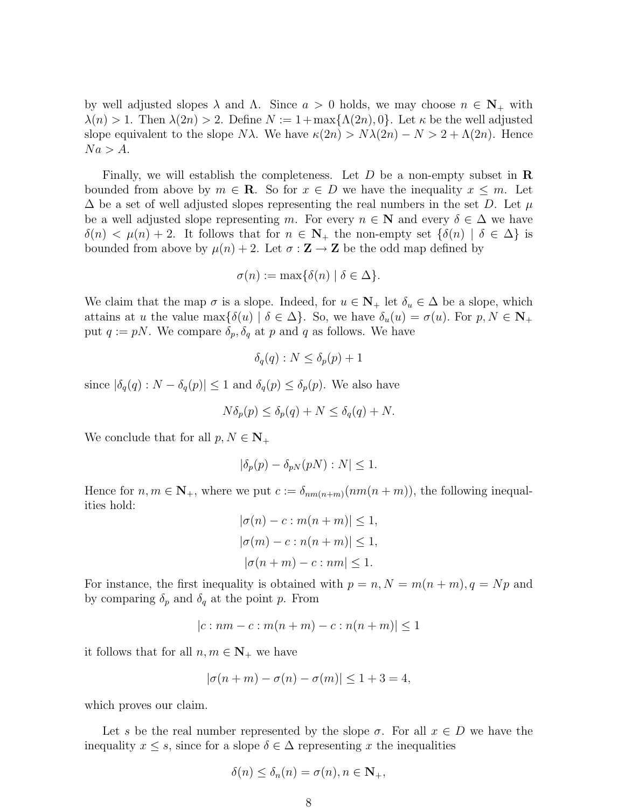by well adjusted slopes  $\lambda$  and  $\Lambda$ . Since  $a > 0$  holds, we may choose  $n \in \mathbb{N}_+$  with  $\lambda(n) > 1$ . Then  $\lambda(2n) > 2$ . Define  $N := 1 + \max{\{\Lambda(2n), 0\}}$ . Let  $\kappa$  be the well adjusted slope equivalent to the slope N $\lambda$ . We have  $\kappa(2n) > N\lambda(2n) - N > 2 + \Lambda(2n)$ . Hence  $Na > A$ .

Finally, we will establish the completeness. Let  $D$  be a non-empty subset in  $\bf R$ bounded from above by  $m \in \mathbb{R}$ . So for  $x \in D$  we have the inequality  $x \leq m$ . Let  $\Delta$  be a set of well adjusted slopes representing the real numbers in the set D. Let  $\mu$ be a well adjusted slope representing m. For every  $n \in \mathbb{N}$  and every  $\delta \in \Delta$  we have  $\delta(n) < \mu(n) + 2$ . It follows that for  $n \in \mathbb{N}_+$  the non-empty set  $\{\delta(n) | \delta \in \Delta\}$  is bounded from above by  $\mu(n) + 2$ . Let  $\sigma : \mathbf{Z} \to \mathbf{Z}$  be the odd map defined by

$$
\sigma(n) := \max\{\delta(n) \mid \delta \in \Delta\}.
$$

We claim that the map  $\sigma$  is a slope. Indeed, for  $u \in \mathbb{N}_+$  let  $\delta_u \in \Delta$  be a slope, which attains at u the value max $\{\delta(u) \mid \delta \in \Delta\}$ . So, we have  $\delta_u(u) = \sigma(u)$ . For  $p, N \in \mathbb{N}_+$ put  $q := pN$ . We compare  $\delta_p, \delta_q$  at p and q as follows. We have

$$
\delta_q(q) : N \le \delta_p(p) + 1
$$

since  $|\delta_q(q): N - \delta_q(p)| \leq 1$  and  $\delta_q(p) \leq \delta_p(p)$ . We also have

$$
N\delta_p(p) \le \delta_p(q) + N \le \delta_q(q) + N.
$$

We conclude that for all  $p, N \in \mathbb{N}_+$ 

$$
|\delta_p(p) - \delta_{pN}(pN) : N| \le 1.
$$

Hence for  $n, m \in \mathbb{N}_+$ , where we put  $c := \delta_{nm(n+m)}(nm(n+m))$ , the following inequalities hold:

$$
|\sigma(n) - c : m(n + m)| \le 1,
$$
  
\n
$$
|\sigma(m) - c : n(n + m)| \le 1,
$$
  
\n
$$
|\sigma(n + m) - c : nm| \le 1.
$$

For instance, the first inequality is obtained with  $p = n, N = m(n + m), q = Np$  and by comparing  $\delta_p$  and  $\delta_q$  at the point p. From

$$
|c: nm - c: m(n + m) - c: n(n + m)| \le 1
$$

it follows that for all  $n, m \in \mathbb{N}_+$  we have

$$
|\sigma(n+m) - \sigma(n) - \sigma(m)| \le 1 + 3 = 4,
$$

which proves our claim.

Let s be the real number represented by the slope  $\sigma$ . For all  $x \in D$  we have the inequality  $x \leq s$ , since for a slope  $\delta \in \Delta$  representing x the inequalities

$$
\delta(n) \le \delta_n(n) = \sigma(n), n \in \mathbf{N}_+,
$$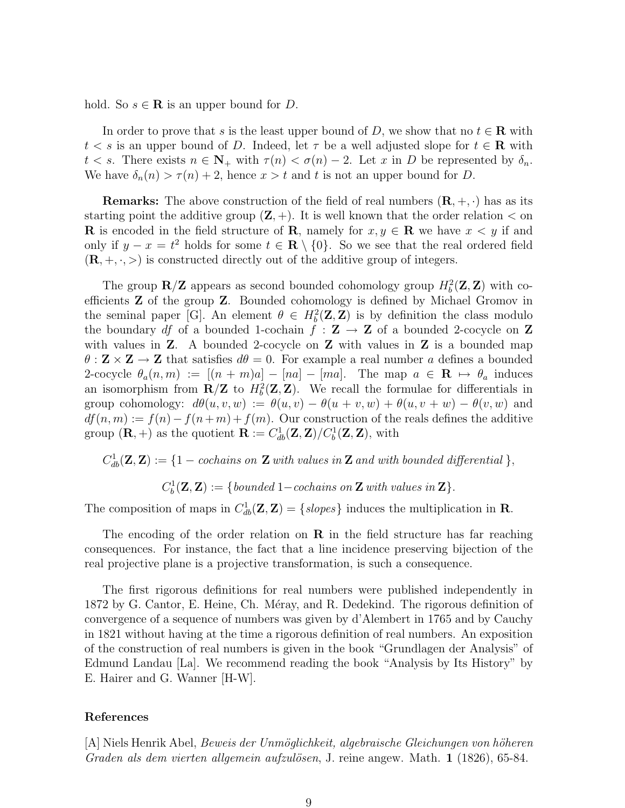hold. So  $s \in \mathbf{R}$  is an upper bound for D.

In order to prove that s is the least upper bound of D, we show that no  $t \in \mathbb{R}$  with  $t < s$  is an upper bound of D. Indeed, let  $\tau$  be a well adjusted slope for  $t \in \mathbb{R}$  with  $t < s$ . There exists  $n \in \mathbb{N}_+$  with  $\tau(n) < \sigma(n) - 2$ . Let x in D be represented by  $\delta_n$ . We have  $\delta_n(n) > \tau(n) + 2$ , hence  $x > t$  and t is not an upper bound for D.

**Remarks:** The above construction of the field of real numbers  $(\mathbf{R}, +, \cdot)$  has as its starting point the additive group  $(\mathbf{Z}, +)$ . It is well known that the order relation  $\lt$  on **R** is encoded in the field structure of **R**, namely for  $x, y \in \mathbf{R}$  we have  $x < y$  if and only if  $y - x = t^2$  holds for some  $t \in \mathbb{R} \setminus \{0\}$ . So we see that the real ordered field  $(R, +, \cdot, >)$  is constructed directly out of the additive group of integers.

The group  $\mathbb{R}/\mathbb{Z}$  appears as second bounded cohomology group  $H_b^2(\mathbb{Z}, \mathbb{Z})$  with coefficients Z of the group Z. Bounded cohomology is defined by Michael Gromov in the seminal paper [G]. An element  $\theta \in H_b^2(\mathbf{Z}, \mathbf{Z})$  is by definition the class modulo the boundary df of a bounded 1-cochain  $f : \mathbf{Z} \to \mathbf{Z}$  of a bounded 2-cocycle on  $\mathbf{Z}$ with values in  $Z$ . A bounded 2-cocycle on  $Z$  with values in  $Z$  is a bounded map  $\theta$ :  $\mathbf{Z} \times \mathbf{Z} \to \mathbf{Z}$  that satisfies  $d\theta = 0$ . For example a real number a defines a bounded 2-cocycle  $\theta_a(n,m) := [(n+m)a] - [na] - [ma]$ . The map  $a \in \mathbb{R} \mapsto \theta_a$  induces an isomorphism from  $\mathbf{R}/\mathbf{Z}$  to  $H_b^2(\mathbf{Z}, \mathbf{Z})$ . We recall the formulae for differentials in group cohomology:  $d\theta(u, v, w) := \theta(u, v) - \theta(u + v, w) + \theta(u, v + w) - \theta(v, w)$  and  $df(n, m) := f(n) - f(n + m) + f(m)$ . Our construction of the reals defines the additive group  $(\mathbf{R}, +)$  as the quotient  $\mathbf{R} := C_{db}^1(\mathbf{Z}, \mathbf{Z}) / C_b^1(\mathbf{Z}, \mathbf{Z})$ , with

 $C_{db}^1(\mathbf{Z}, \mathbf{Z}) := \{1 - \text{cochains on } \mathbf{Z} \text{ with values in } \mathbf{Z} \text{ and with bounded differential } \},$ 

 $C_b^1(\mathbf{Z}, \mathbf{Z}) := \{bounded\ 1-cochains\ on\ \mathbf{Z}\ with\ values\ in\ \mathbf{Z}\}.$ 

The composition of maps in  $C_{db}^1(\mathbf{Z}, \mathbf{Z}) = \{slopes\}$  induces the multiplication in **R**.

The encoding of the order relation on  $\bf{R}$  in the field structure has far reaching consequences. For instance, the fact that a line incidence preserving bijection of the real projective plane is a projective transformation, is such a consequence.

The first rigorous definitions for real numbers were published independently in 1872 by G. Cantor, E. Heine, Ch. Méray, and R. Dedekind. The rigorous definition of convergence of a sequence of numbers was given by d'Alembert in 1765 and by Cauchy in 1821 without having at the time a rigorous definition of real numbers. An exposition of the construction of real numbers is given in the book "Grundlagen der Analysis" of Edmund Landau [La]. We recommend reading the book "Analysis by Its History" by E. Hairer and G. Wanner [H-W].

## References

[A] Niels Henrik Abel, *Beweis der Unmöglichkeit, algebraische Gleichungen von höheren* Graden als dem vierten allgemein aufzulösen, J. reine angew. Math. 1 (1826), 65-84.